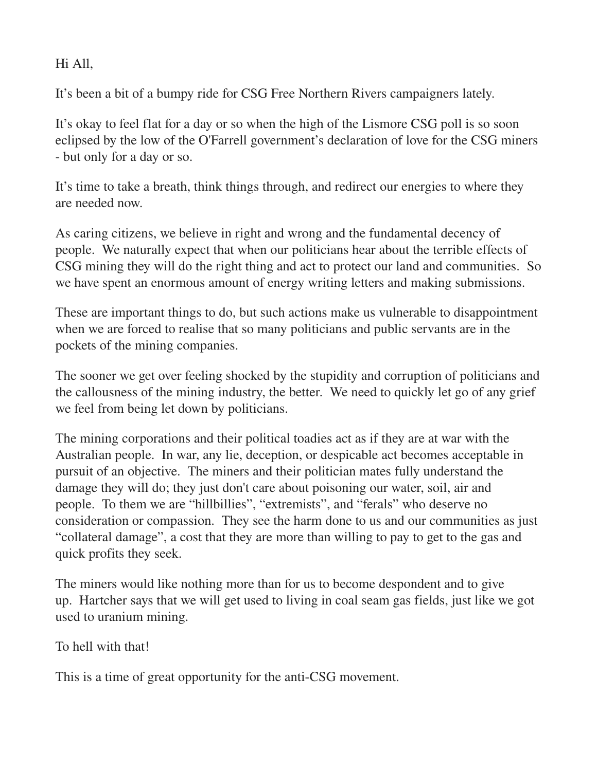Hi All,

It's been a bit of a bumpy ride for CSG Free Northern Rivers campaigners lately.

It's okay to feel flat for a day or so when the high of the Lismore CSG poll is so soon eclipsed by the low of the O'Farrell government's declaration of love for the CSG miners but only for a day or so.

It's time to take a breath, think things through, and redirect our energies to where they are needed now.

As caring citizens, we believe in right and wrong and the fundamental decency of people. We naturally expect that when our politicians hear about the terrible effects of CSG mining they will do the right thing and act to protect our land and communities. So we have spent an enormous amount of energy writing letters and making submissions.

These are important things to do, but such actions make us vulnerable to disappointment when we are forced to realise that so many politicians and public servants are in the pockets of the mining companies.

The sooner we get over feeling shocked by the stupidity and corruption of politicians and the callousness of the mining industry, the better. We need to quickly let go of any grief we feel from being let down by politicians.

The mining corporations and their political toadies act as if they are at war with the Australian people. In war, any lie, deception, or despicable act becomes acceptable in pursuit of an objective. The miners and their politician mates fully understand the damage they will do; they just don't care about poisoning our water, soil, air and people. To them we are "hillbillies", "extremists", and "ferals" who deserve no consideration or compassion. They see the harm done to us and our communities as just "collateral damage", a cost that they are more than willing to pay to get to the gas and quick profits they seek.

The miners would like nothing more than for us to become despondent and to give up. Hartcher says that we will get used to living in coal seam gas fields, just like we got used to uranium mining.

To hell with that!

This is a time of great opportunity for the anti-CSG movement.